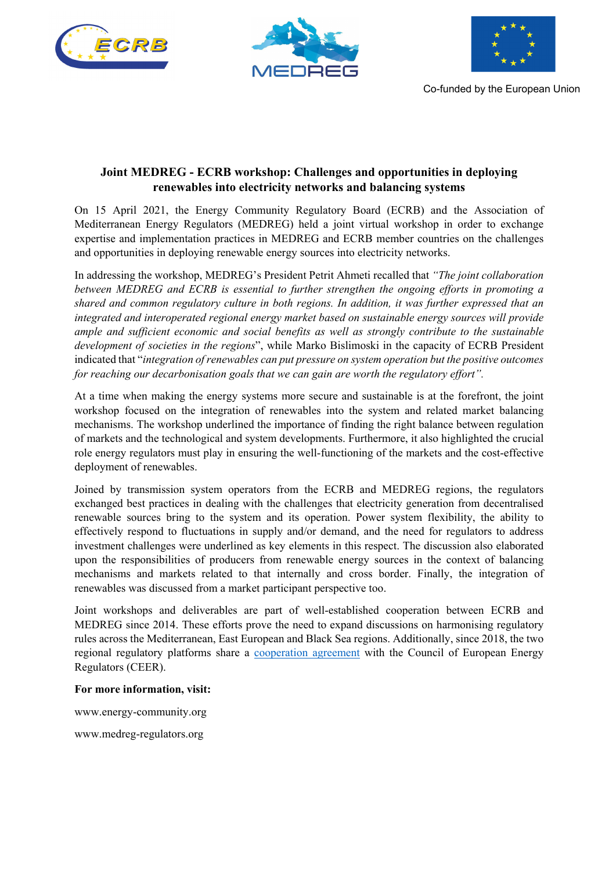





Co-funded by the European Union

## **Joint MEDREG - ECRB workshop: Challenges and opportunities in deploying renewables into electricity networks and balancing systems**

On 15 April 2021, the Energy Community Regulatory Board (ECRB) and the Association of Mediterranean Energy Regulators (MEDREG) held a joint virtual workshop in order to exchange expertise and implementation practices in MEDREG and ECRB member countries on the challenges and opportunities in deploying renewable energy sources into electricity networks.

In addressing the workshop, MEDREG's President Petrit Ahmeti recalled that *"The joint collaboration between MEDREG and ECRB is essential to further strengthen the ongoing efforts in promoting a shared and common regulatory culture in both regions. In addition, it was further expressed that an integrated and interoperated regional energy market based on sustainable energy sources will provide ample and sufficient economic and social benefits as well as strongly contribute to the sustainable development of societies in the regions*", while Marko Bislimoski in the capacity of ECRB President indicated that "*integration of renewables can put pressure on system operation but the positive outcomes for reaching our decarbonisation goals that we can gain are worth the regulatory effort".*

At a time when making the energy systems more secure and sustainable is at the forefront, the joint workshop focused on the integration of renewables into the system and related market balancing mechanisms. The workshop underlined the importance of finding the right balance between regulation of markets and the technological and system developments. Furthermore, it also highlighted the crucial role energy regulators must play in ensuring the well-functioning of the markets and the cost-effective deployment of renewables.

Joined by transmission system operators from the ECRB and MEDREG regions, the regulators exchanged best practices in dealing with the challenges that electricity generation from decentralised renewable sources bring to the system and its operation. Power system flexibility, the ability to effectively respond to fluctuations in supply and/or demand, and the need for regulators to address investment challenges were underlined as key elements in this respect. The discussion also elaborated upon the responsibilities of producers from renewable energy sources in the context of balancing mechanisms and markets related to that internally and cross border. Finally, the integration of renewables was discussed from a market participant perspective too.

Joint workshops and deliverables are part of well-established cooperation between ECRB and MEDREG since 2014. These efforts prove the need to expand discussions on harmonising regulatory rules across the Mediterranean, East European and Black Sea regions. Additionally, since 2018, the two regional regulatory platforms share a cooperation agreement with the Council of European Energy Regulators (CEER).

## **For more information, visit:**

www.energy-community.org

www.medreg-regulators.org